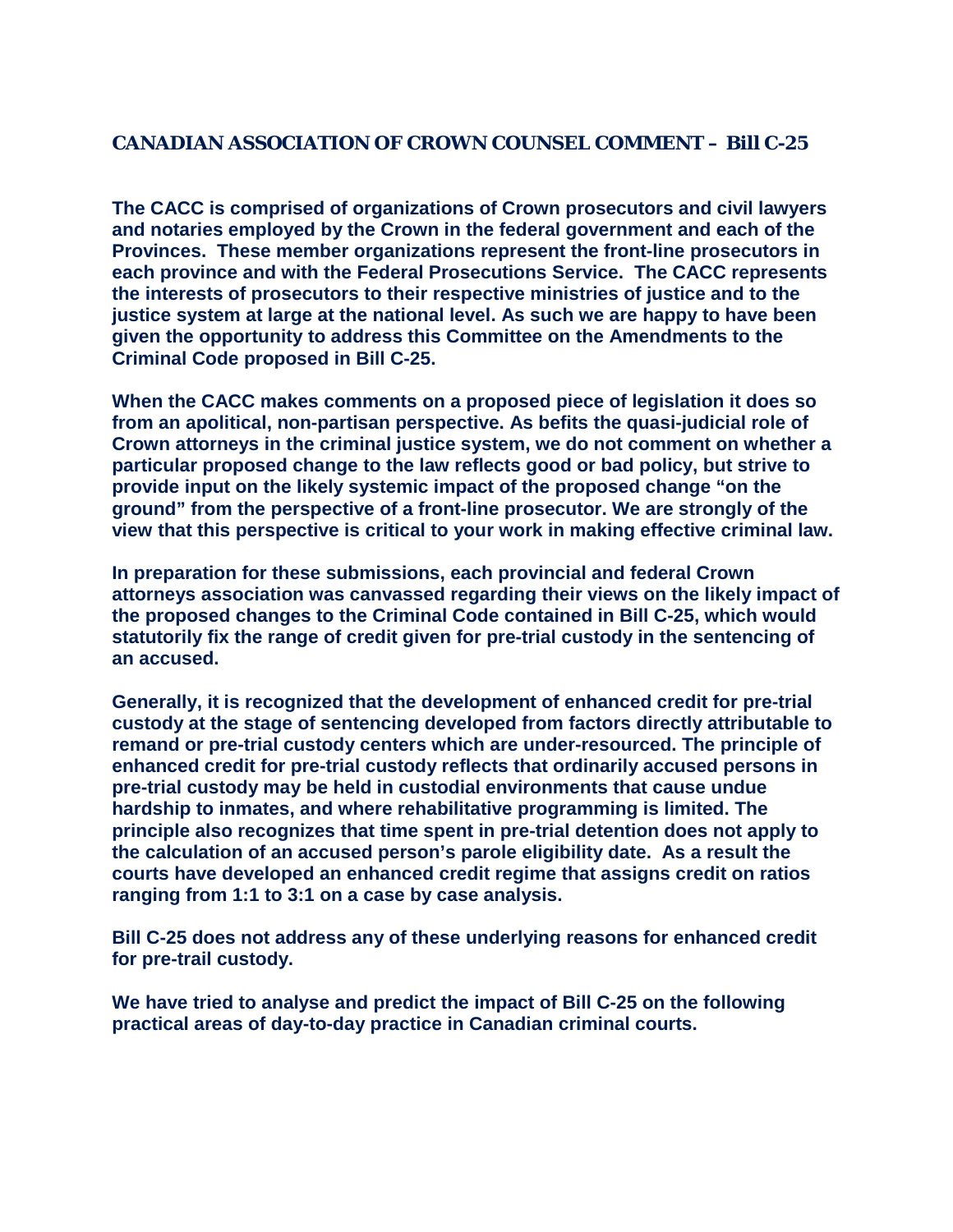## **CANADIAN ASSOCIATION OF CROWN COUNSEL COMMENT – Bill C-25**

**The CACC is comprised of organizations of Crown prosecutors and civil lawyers and notaries employed by the Crown in the federal government and each of the Provinces. These member organizations represent the front-line prosecutors in each province and with the Federal Prosecutions Service. The CACC represents the interests of prosecutors to their respective ministries of justice and to the justice system at large at the national level. As such we are happy to have been given the opportunity to address this Committee on the Amendments to the Criminal Code proposed in Bill C-25.**

**When the CACC makes comments on a proposed piece of legislation it does so from an apolitical, non-partisan perspective. As befits the quasi-judicial role of Crown attorneys in the criminal justice system, we do not comment on whether a particular proposed change to the law reflects good or bad policy, but strive to provide input on the likely systemic impact of the proposed change "on the ground" from the perspective of a front-line prosecutor. We are strongly of the view that this perspective is critical to your work in making effective criminal law.**

**In preparation for these submissions, each provincial and federal Crown attorneys association was canvassed regarding their views on the likely impact of the proposed changes to the Criminal Code contained in Bill C-25, which would statutorily fix the range of credit given for pre-trial custody in the sentencing of an accused.**

**Generally, it is recognized that the development of enhanced credit for pre-trial custody at the stage of sentencing developed from factors directly attributable to remand or pre-trial custody centers which are under-resourced. The principle of enhanced credit for pre-trial custody reflects that ordinarily accused persons in pre-trial custody may be held in custodial environments that cause undue hardship to inmates, and where rehabilitative programming is limited. The principle also recognizes that time spent in pre-trial detention does not apply to the calculation of an accused person's parole eligibility date. As a result the courts have developed an enhanced credit regime that assigns credit on ratios ranging from 1:1 to 3:1 on a case by case analysis.**

**Bill C-25 does not address any of these underlying reasons for enhanced credit for pre-trail custody.**

**We have tried to analyse and predict the impact of Bill C-25 on the following practical areas of day-to-day practice in Canadian criminal courts.**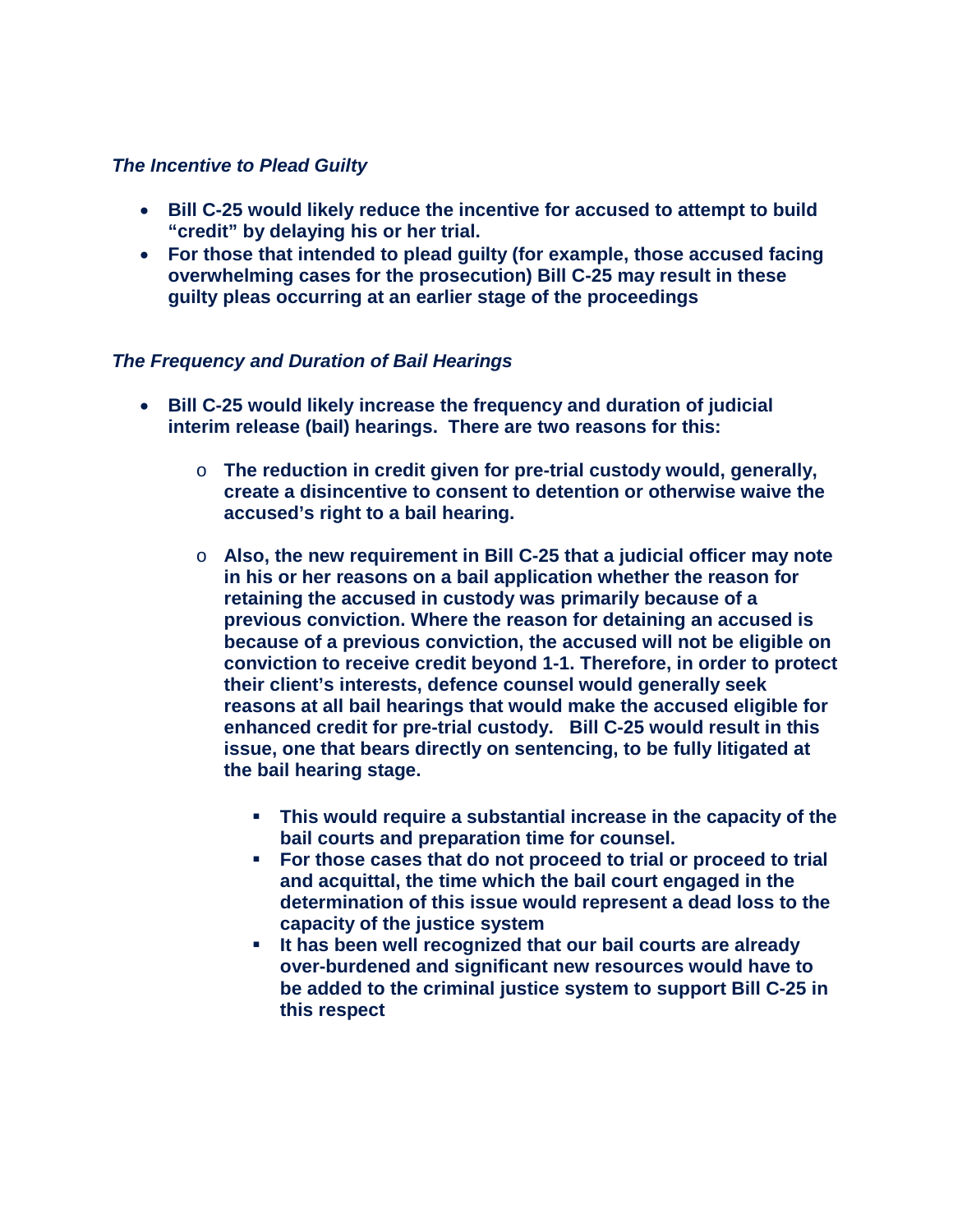### *The Incentive to Plead Guilty*

- **Bill C-25 would likely reduce the incentive for accused to attempt to build "credit" by delaying his or her trial.**
- **For those that intended to plead guilty (for example, those accused facing overwhelming cases for the prosecution) Bill C-25 may result in these guilty pleas occurring at an earlier stage of the proceedings**

#### *The Frequency and Duration of Bail Hearings*

- **Bill C-25 would likely increase the frequency and duration of judicial interim release (bail) hearings. There are two reasons for this:**
	- o **The reduction in credit given for pre-trial custody would, generally, create a disincentive to consent to detention or otherwise waive the accused's right to a bail hearing.**
	- o **Also, the new requirement in Bill C-25 that a judicial officer may note in his or her reasons on a bail application whether the reason for retaining the accused in custody was primarily because of a previous conviction. Where the reason for detaining an accused is because of a previous conviction, the accused will not be eligible on conviction to receive credit beyond 1-1. Therefore, in order to protect their client's interests, defence counsel would generally seek reasons at all bail hearings that would make the accused eligible for enhanced credit for pre-trial custody. Bill C-25 would result in this issue, one that bears directly on sentencing, to be fully litigated at the bail hearing stage.**
		- **This would require a substantial increase in the capacity of the bail courts and preparation time for counsel.**
		- **For those cases that do not proceed to trial or proceed to trial and acquittal, the time which the bail court engaged in the determination of this issue would represent a dead loss to the capacity of the justice system**
		- **It has been well recognized that our bail courts are already over-burdened and significant new resources would have to be added to the criminal justice system to support Bill C-25 in this respect**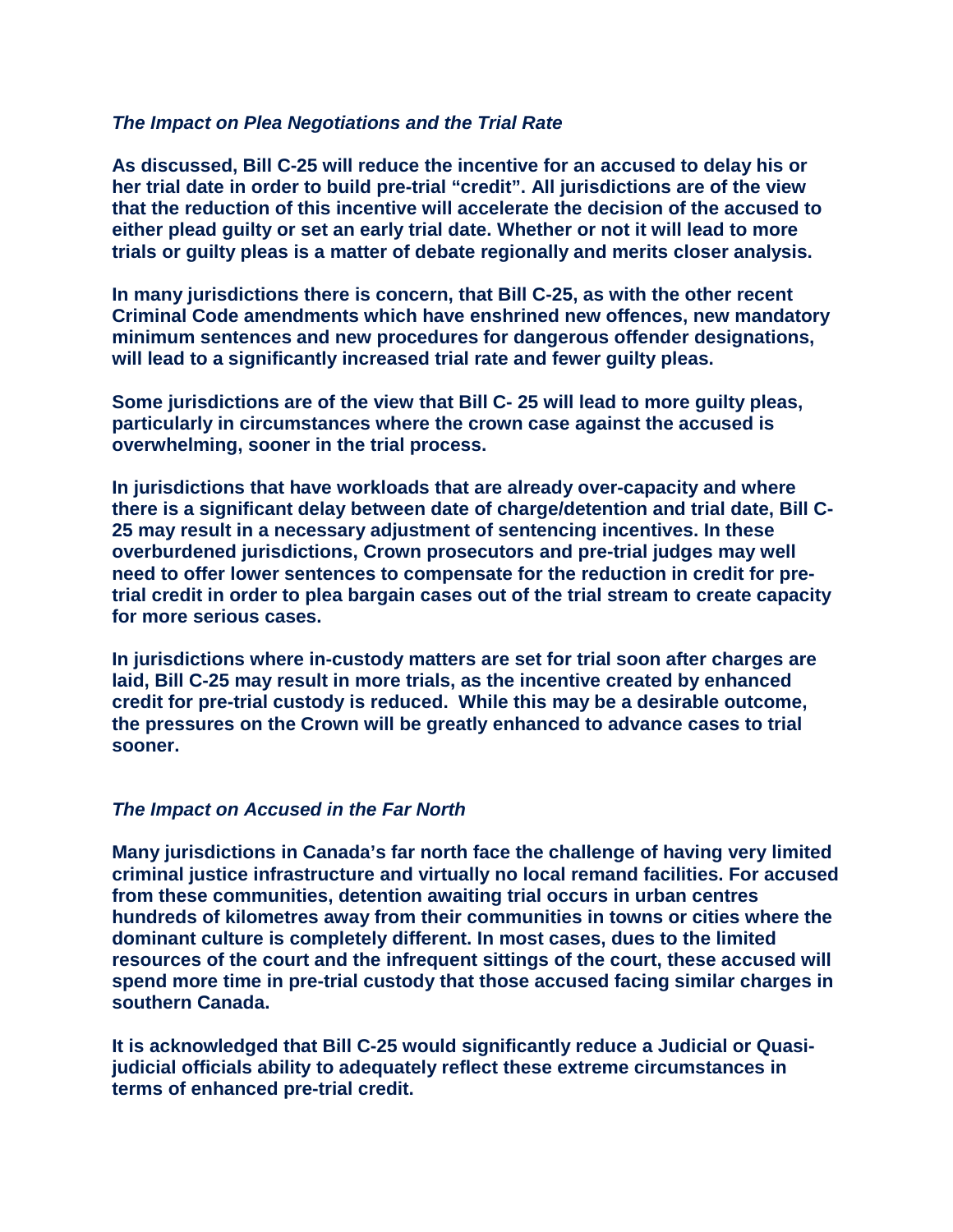#### *The Impact on Plea Negotiations and the Trial Rate*

**As discussed, Bill C-25 will reduce the incentive for an accused to delay his or her trial date in order to build pre-trial "credit". All jurisdictions are of the view that the reduction of this incentive will accelerate the decision of the accused to either plead guilty or set an early trial date. Whether or not it will lead to more trials or guilty pleas is a matter of debate regionally and merits closer analysis.**

**In many jurisdictions there is concern, that Bill C-25, as with the other recent Criminal Code amendments which have enshrined new offences, new mandatory minimum sentences and new procedures for dangerous offender designations, will lead to a significantly increased trial rate and fewer guilty pleas.**

**Some jurisdictions are of the view that Bill C- 25 will lead to more guilty pleas, particularly in circumstances where the crown case against the accused is overwhelming, sooner in the trial process.** 

**In jurisdictions that have workloads that are already over-capacity and where there is a significant delay between date of charge/detention and trial date, Bill C-25 may result in a necessary adjustment of sentencing incentives. In these overburdened jurisdictions, Crown prosecutors and pre-trial judges may well need to offer lower sentences to compensate for the reduction in credit for pretrial credit in order to plea bargain cases out of the trial stream to create capacity for more serious cases.**

**In jurisdictions where in-custody matters are set for trial soon after charges are laid, Bill C-25 may result in more trials, as the incentive created by enhanced credit for pre-trial custody is reduced. While this may be a desirable outcome, the pressures on the Crown will be greatly enhanced to advance cases to trial sooner.**

#### *The Impact on Accused in the Far North*

**Many jurisdictions in Canada's far north face the challenge of having very limited criminal justice infrastructure and virtually no local remand facilities. For accused from these communities, detention awaiting trial occurs in urban centres hundreds of kilometres away from their communities in towns or cities where the dominant culture is completely different. In most cases, dues to the limited resources of the court and the infrequent sittings of the court, these accused will spend more time in pre-trial custody that those accused facing similar charges in southern Canada.**

**It is acknowledged that Bill C-25 would significantly reduce a Judicial or Quasijudicial officials ability to adequately reflect these extreme circumstances in terms of enhanced pre-trial credit.**